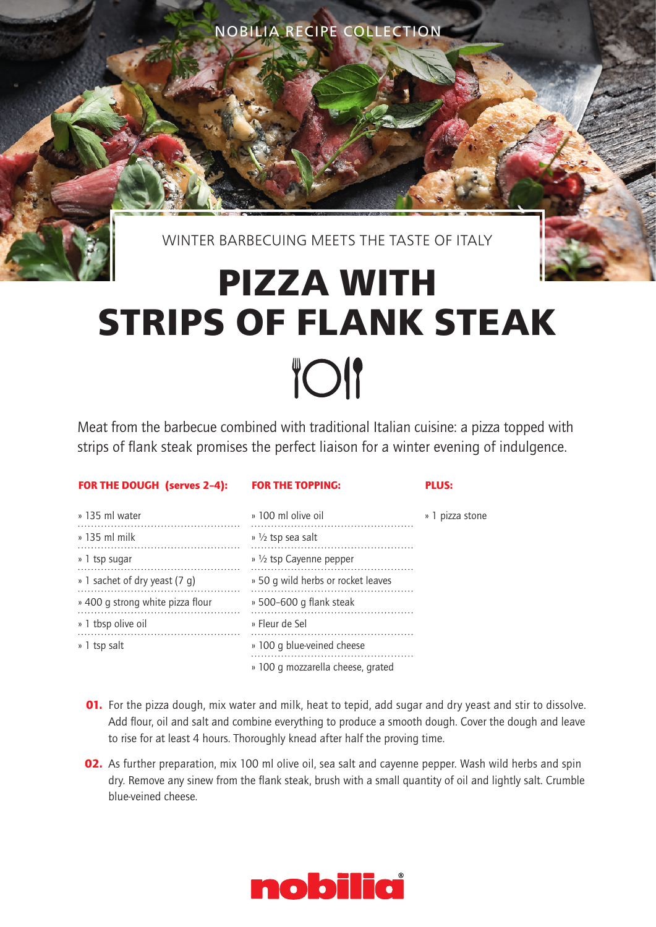WINTER BARBECUING MEETS THE TASTE OF ITALY

## **PIZZA WITH STRIPS OF FLANK STEAK TOI**

Meat from the barbecue combined with traditional Italian cuisine: a pizza topped with strips of flank steak promises the perfect liaison for a winter evening of indulgence.

|  | FOR THE DOUGH (serves 2-4): |  |  |
|--|-----------------------------|--|--|
|  |                             |  |  |

FOR THE TOPPING:

PLUS:

| » 135 ml water                   | » 100 ml olive oil                 | » 1 pizza stone |
|----------------------------------|------------------------------------|-----------------|
| $\frac{135}{135}$ ml milk        | $\frac{1}{2}$ tsp sea salt         |                 |
| » 1 tsp sugar                    | » 1/2 tsp Cayenne pepper           |                 |
| » 1 sachet of dry yeast (7 g)    | » 50 g wild herbs or rocket leaves |                 |
| » 400 g strong white pizza flour | » 500-600 g flank steak            |                 |
| » 1 tbsp olive oil               | » Fleur de Sel                     |                 |
| » 1 tsp salt                     | » 100 g blue-veined cheese         |                 |
|                                  | » 100 g mozzarella cheese, grated  |                 |

- **01.** For the pizza dough, mix water and milk, heat to tepid, add sugar and dry yeast and stir to dissolve. Add flour, oil and salt and combine everything to produce a smooth dough. Cover the dough and leave to rise for at least 4 hours. Thoroughly knead after half the proving time.
- **02.** As further preparation, mix 100 ml olive oil, sea salt and cayenne pepper. Wash wild herbs and spin dry. Remove any sinew from the flank steak, brush with a small quantity of oil and lightly salt. Crumble blue-veined cheese.